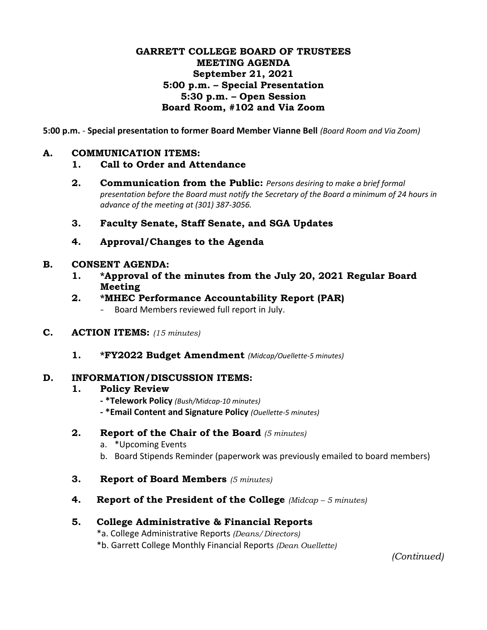## **GARRETT COLLEGE BOARD OF TRUSTEES MEETING AGENDA September 21, 2021 5:00 p.m. – Special Presentation 5:30 p.m. – Open Session Board Room, #102 and Via Zoom**

**5:00 p.m.** - **Special presentation to former Board Member Vianne Bell** *(Board Room and Via Zoom)*

### **A. COMMUNICATION ITEMS:**

- **1. Call to Order and Attendance**
- **2. Communication from the Public:** *Persons desiring to make a brief formal presentation before the Board must notify the Secretary of the Board a minimum of 24 hours in advance of the meeting at (301) 387-3056.*
- **3. Faculty Senate, Staff Senate, and SGA Updates**
- **4. Approval/Changes to the Agenda**

#### **B. CONSENT AGENDA:**

- **1. \*Approval of the minutes from the July 20, 2021 Regular Board Meeting**
- **2. \*MHEC Performance Accountability Report (PAR)**
	- Board Members reviewed full report in July.
- **C. ACTION ITEMS:** *(15 minutes)*
	- **1. \*FY2022 Budget Amendment** *(Midcap/Ouellette-5 minutes)*

#### **D. INFORMATION/DISCUSSION ITEMS:**

#### **1. Policy Review**

- **- \*Telework Policy** *(Bush/Midcap-10 minutes)*
- **- \*Email Content and Signature Policy** *(Ouellette-5 minutes)*

#### **2. Report of the Chair of the Board** *(5 minutes)*

- a. \*Upcoming Events
- b. Board Stipends Reminder (paperwork was previously emailed to board members)
- **3. Report of Board Members** *(5 minutes)*
- **4. Report of the President of the College** *(Midcap – 5 minutes)*

## **5. College Administrative & Financial Reports**

- \*a. College Administrative Reports *(Deans/Directors)*
- \*b. Garrett College Monthly Financial Reports *(Dean Ouellette)*

*(Continued)*